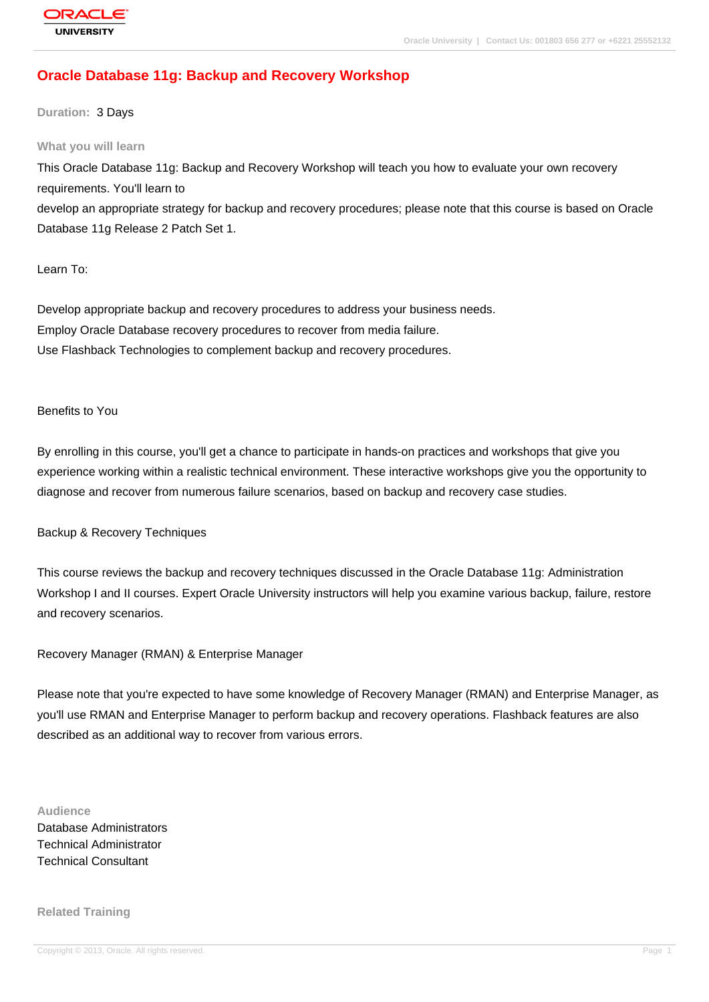# **[Oracle Databas](http://education.oracle.com/pls/web_prod-plq-dad/db_pages.getpage?page_id=3)e 11g: Backup and Recovery Workshop**

**Duration:** 3 Days

#### **What you will learn**

This Oracle Database 11g: Backup and Recovery Workshop will teach you how to evaluate your own recovery requirements. You'll learn to develop an appropriate strategy for backup and recovery procedures; please note that this course is based on Oracle Database 11g Release 2 Patch Set 1.

Learn To:

Develop appropriate backup and recovery procedures to address your business needs. Employ Oracle Database recovery procedures to recover from media failure. Use Flashback Technologies to complement backup and recovery procedures.

#### Benefits to You

By enrolling in this course, you'll get a chance to participate in hands-on practices and workshops that give you experience working within a realistic technical environment. These interactive workshops give you the opportunity to diagnose and recover from numerous failure scenarios, based on backup and recovery case studies.

Backup & Recovery Techniques

This course reviews the backup and recovery techniques discussed in the Oracle Database 11g: Administration Workshop I and II courses. Expert Oracle University instructors will help you examine various backup, failure, restore and recovery scenarios.

Recovery Manager (RMAN) & Enterprise Manager

Please note that you're expected to have some knowledge of Recovery Manager (RMAN) and Enterprise Manager, as you'll use RMAN and Enterprise Manager to perform backup and recovery operations. Flashback features are also described as an additional way to recover from various errors.

**Audience**

Database Administrators Technical Administrator Technical Consultant

**Related Training**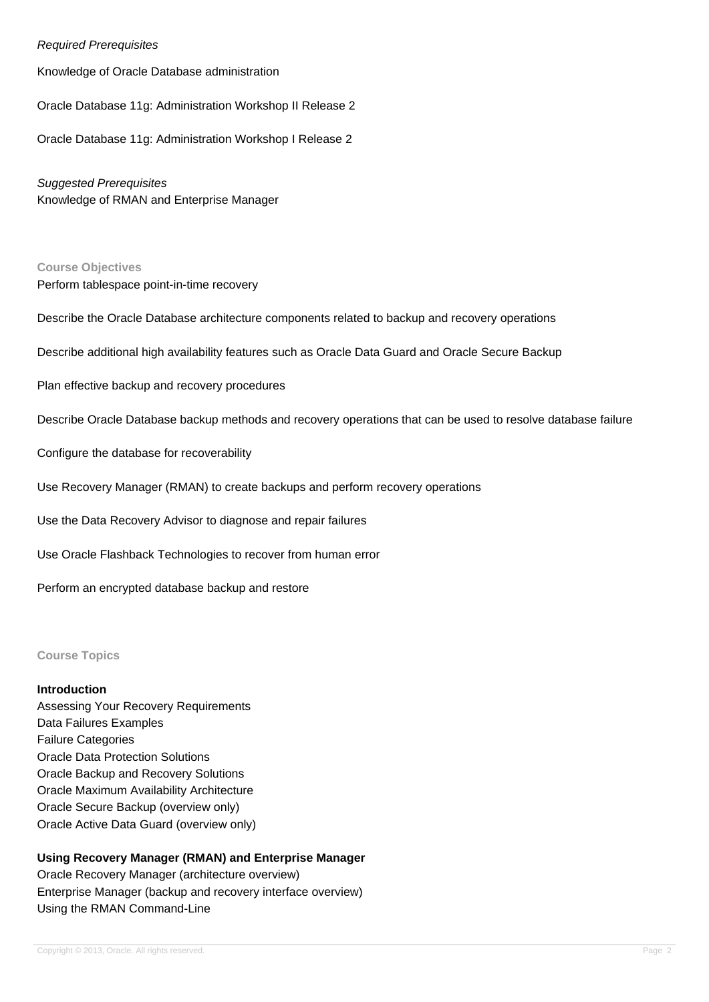### Required Prerequisites

Knowledge of Oracle Database administration

Oracle Database 11g: Administration Workshop II Release 2

Oracle Database 11g: Administration Workshop I Release 2

Suggested Prerequisites Knowledge of RMAN and Enterprise Manager

**Course Objectives** Perform tablespace point-in-time recovery

Describe the Oracle Database architecture components related to backup and recovery operations

Describe additional high availability features such as Oracle Data Guard and Oracle Secure Backup

Plan effective backup and recovery procedures

Describe Oracle Database backup methods and recovery operations that can be used to resolve database failure

Configure the database for recoverability

Use Recovery Manager (RMAN) to create backups and perform recovery operations

Use the Data Recovery Advisor to diagnose and repair failures

Use Oracle Flashback Technologies to recover from human error

Perform an encrypted database backup and restore

#### **Course Topics**

#### **Introduction**

Assessing Your Recovery Requirements Data Failures Examples Failure Categories Oracle Data Protection Solutions Oracle Backup and Recovery Solutions Oracle Maximum Availability Architecture Oracle Secure Backup (overview only) Oracle Active Data Guard (overview only)

### **Using Recovery Manager (RMAN) and Enterprise Manager**

Oracle Recovery Manager (architecture overview) Enterprise Manager (backup and recovery interface overview) Using the RMAN Command-Line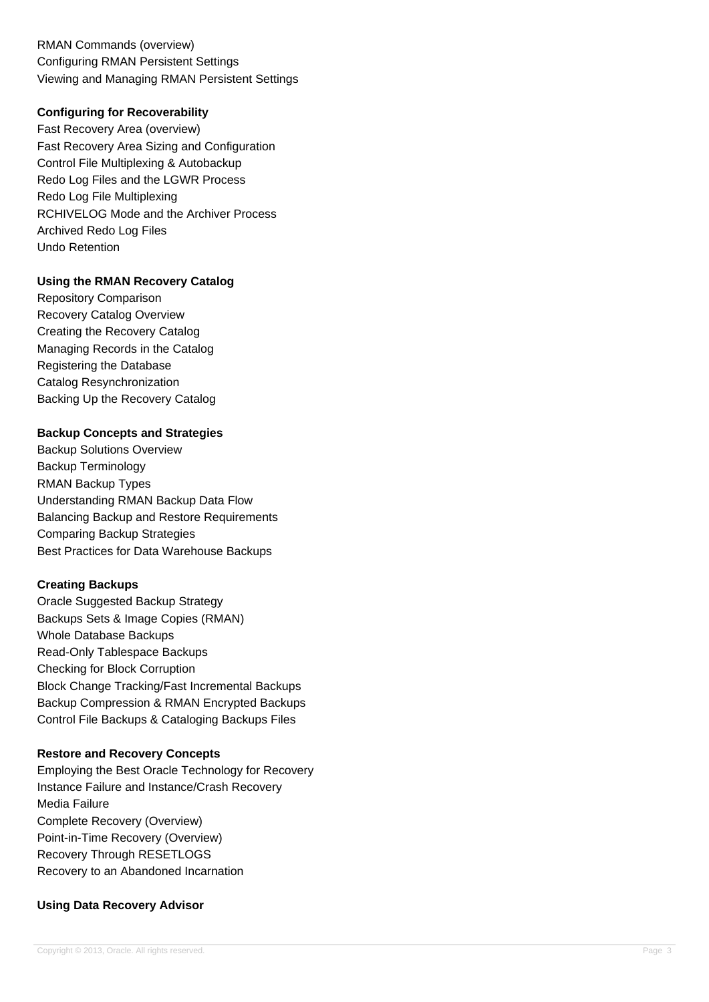RMAN Commands (overview) Configuring RMAN Persistent Settings Viewing and Managing RMAN Persistent Settings

### **Configuring for Recoverability**

Fast Recovery Area (overview) Fast Recovery Area Sizing and Configuration Control File Multiplexing & Autobackup Redo Log Files and the LGWR Process Redo Log File Multiplexing RCHIVELOG Mode and the Archiver Process Archived Redo Log Files Undo Retention

### **Using the RMAN Recovery Catalog**

Repository Comparison Recovery Catalog Overview Creating the Recovery Catalog Managing Records in the Catalog Registering the Database Catalog Resynchronization Backing Up the Recovery Catalog

### **Backup Concepts and Strategies**

Backup Solutions Overview Backup Terminology RMAN Backup Types Understanding RMAN Backup Data Flow Balancing Backup and Restore Requirements Comparing Backup Strategies Best Practices for Data Warehouse Backups

### **Creating Backups**

Oracle Suggested Backup Strategy Backups Sets & Image Copies (RMAN) Whole Database Backups Read-Only Tablespace Backups Checking for Block Corruption Block Change Tracking/Fast Incremental Backups Backup Compression & RMAN Encrypted Backups Control File Backups & Cataloging Backups Files

#### **Restore and Recovery Concepts**

Employing the Best Oracle Technology for Recovery Instance Failure and Instance/Crash Recovery Media Failure Complete Recovery (Overview) Point-in-Time Recovery (Overview) Recovery Through RESETLOGS Recovery to an Abandoned Incarnation

### **Using Data Recovery Advisor**